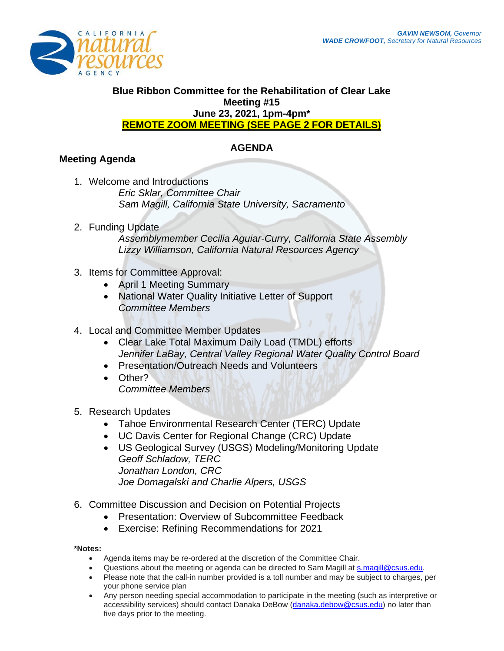

#### **Blue Ribbon Committee for the Rehabilitation of Clear Lake Meeting #15 June 23, 2021, 1pm-4pm\* REMOTE ZOOM MEETING (SEE PAGE 2 FOR DETAILS)**

## **AGENDA**

# **Meeting Agenda**

- 1. Welcome and Introductions *Eric Sklar, Committee Chair Sam Magill, California State University, Sacramento*
- 2. Funding Update *Assemblymember Cecilia Aguiar-Curry, California State Assembly Lizzy Williamson, California Natural Resources Agency*
- 3. Items for Committee Approval:
	- April 1 Meeting Summary
	- National Water Quality Initiative Letter of Support *Committee Members*
- 4. Local and Committee Member Updates
	- Clear Lake Total Maximum Daily Load (TMDL) efforts *Jennifer LaBay, Central Valley Regional Water Quality Control Board*
	- Presentation/Outreach Needs and Volunteers
	- Other? *Committee Members*
- 5. Research Updates
	- Tahoe Environmental Research Center (TERC) Update
	- UC Davis Center for Regional Change (CRC) Update
	- US Geological Survey (USGS) Modeling/Monitoring Update *Geoff Schladow, TERC Jonathan London, CRC Joe Domagalski and Charlie Alpers, USGS*
- 6. Committee Discussion and Decision on Potential Projects
	- Presentation: Overview of Subcommittee Feedback
	- Exercise: Refining Recommendations for 2021

#### **\*Notes:**

- Agenda items may be re-ordered at the discretion of the Committee Chair.
- Questions about the meeting or agenda can be directed to Sam Magill at [s.magill@csus.edu.](mailto:s.magill@csus.edu)
- Please note that the call-in number provided is a toll number and may be subject to charges, per your phone service plan
- Any person needing special accommodation to participate in the meeting (such as interpretive or accessibility services) should contact Danaka DeBow [\(danaka.debow@csus.edu\)](mailto:danaka.debow@csus.edu) no later than five days prior to the meeting.